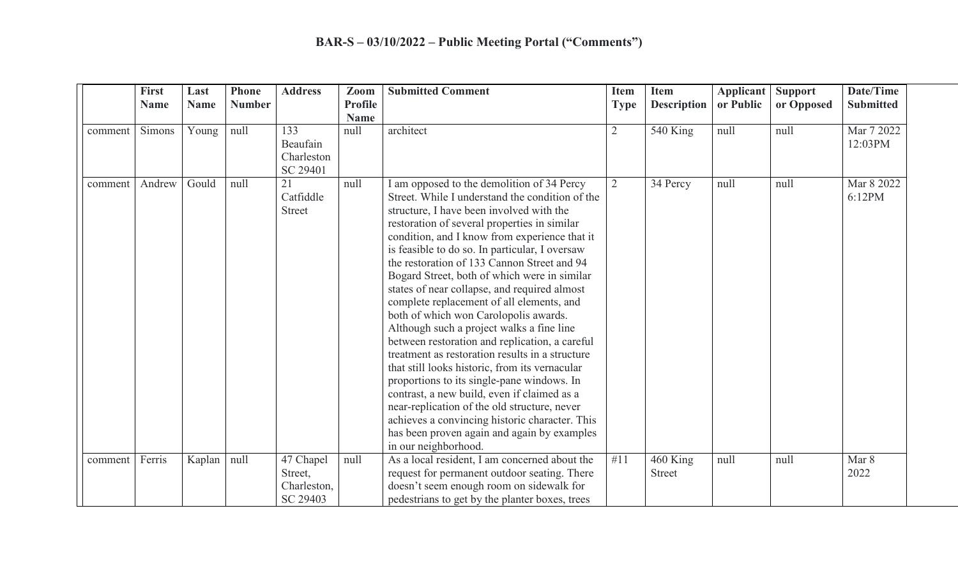|         | <b>First</b><br><b>Name</b> | Last<br><b>Name</b> | <b>Phone</b><br><b>Number</b> | <b>Address</b>                      | Zoom<br><b>Profile</b> | <b>Submitted Comment</b>                                                                                                                                                                                                                                                                                                                                                                                                                                                                                                                                                                                                                                                                                                                                                                                                                                                                                                                                                                                    | <b>Item</b><br><b>Type</b> | <b>Item</b><br><b>Description</b> | <b>Applicant</b><br>or Public | <b>Support</b><br>or Opposed | Date/Time<br><b>Submitted</b> |
|---------|-----------------------------|---------------------|-------------------------------|-------------------------------------|------------------------|-------------------------------------------------------------------------------------------------------------------------------------------------------------------------------------------------------------------------------------------------------------------------------------------------------------------------------------------------------------------------------------------------------------------------------------------------------------------------------------------------------------------------------------------------------------------------------------------------------------------------------------------------------------------------------------------------------------------------------------------------------------------------------------------------------------------------------------------------------------------------------------------------------------------------------------------------------------------------------------------------------------|----------------------------|-----------------------------------|-------------------------------|------------------------------|-------------------------------|
| comment | Simons                      | Young               | null                          | 133                                 | <b>Name</b><br>null    | architect                                                                                                                                                                                                                                                                                                                                                                                                                                                                                                                                                                                                                                                                                                                                                                                                                                                                                                                                                                                                   | $\overline{2}$             | <b>540 King</b>                   | null                          | null                         | Mar 7 2022                    |
|         |                             |                     |                               | Beaufain<br>Charleston<br>SC 29401  |                        |                                                                                                                                                                                                                                                                                                                                                                                                                                                                                                                                                                                                                                                                                                                                                                                                                                                                                                                                                                                                             |                            |                                   |                               |                              | 12:03PM                       |
| comment | Andrew                      | Gould               | null                          | 21<br>Catfiddle<br><b>Street</b>    | null                   | I am opposed to the demolition of 34 Percy<br>Street. While I understand the condition of the<br>structure, I have been involved with the<br>restoration of several properties in similar<br>condition, and I know from experience that it<br>is feasible to do so. In particular, I oversaw<br>the restoration of 133 Cannon Street and 94<br>Bogard Street, both of which were in similar<br>states of near collapse, and required almost<br>complete replacement of all elements, and<br>both of which won Carolopolis awards.<br>Although such a project walks a fine line<br>between restoration and replication, a careful<br>treatment as restoration results in a structure<br>that still looks historic, from its vernacular<br>proportions to its single-pane windows. In<br>contrast, a new build, even if claimed as a<br>near-replication of the old structure, never<br>achieves a convincing historic character. This<br>has been proven again and again by examples<br>in our neighborhood. | $\overline{2}$             | 34 Percy                          | null                          | null                         | Mar 8 2022<br>6:12PM          |
| comment | Ferris                      | Kaplan              | null                          | 47 Chapel<br>Street,<br>Charleston, | null                   | As a local resident, I am concerned about the<br>request for permanent outdoor seating. There<br>doesn't seem enough room on sidewalk for                                                                                                                                                                                                                                                                                                                                                                                                                                                                                                                                                                                                                                                                                                                                                                                                                                                                   | #11                        | 460 King<br><b>Street</b>         | null                          | null                         | Mar 8<br>2022                 |
|         |                             |                     |                               | SC 29403                            |                        | pedestrians to get by the planter boxes, trees                                                                                                                                                                                                                                                                                                                                                                                                                                                                                                                                                                                                                                                                                                                                                                                                                                                                                                                                                              |                            |                                   |                               |                              |                               |